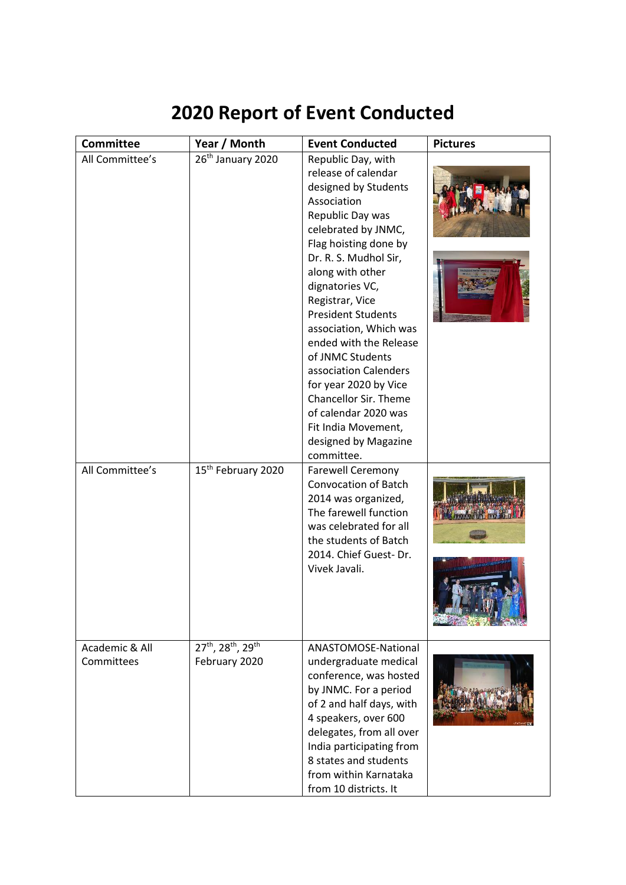## **2020 Report of Event Conducted**

| <b>Committee</b>                   | Year / Month                                                            | <b>Event Conducted</b>                                                                                                                                                                                                                                                                                                                                                                                                                                                                                                                   | <b>Pictures</b> |
|------------------------------------|-------------------------------------------------------------------------|------------------------------------------------------------------------------------------------------------------------------------------------------------------------------------------------------------------------------------------------------------------------------------------------------------------------------------------------------------------------------------------------------------------------------------------------------------------------------------------------------------------------------------------|-----------------|
| All Committee's<br>All Committee's | 26 <sup>th</sup> January 2020<br>15 <sup>th</sup> February 2020         | Republic Day, with<br>release of calendar<br>designed by Students<br>Association<br>Republic Day was<br>celebrated by JNMC,<br>Flag hoisting done by<br>Dr. R. S. Mudhol Sir,<br>along with other<br>dignatories VC,<br>Registrar, Vice<br><b>President Students</b><br>association, Which was<br>ended with the Release<br>of JNMC Students<br>association Calenders<br>for year 2020 by Vice<br>Chancellor Sir. Theme<br>of calendar 2020 was<br>Fit India Movement,<br>designed by Magazine<br>committee.<br><b>Farewell Ceremony</b> |                 |
|                                    |                                                                         | <b>Convocation of Batch</b><br>2014 was organized,<br>The farewell function<br>was celebrated for all<br>the students of Batch<br>2014. Chief Guest-Dr.<br>Vivek Javali.                                                                                                                                                                                                                                                                                                                                                                 |                 |
| Academic & All<br>Committees       | 27 <sup>th</sup> , 28 <sup>th</sup> , 29 <sup>th</sup><br>February 2020 | ANASTOMOSE-National<br>undergraduate medical<br>conference, was hosted<br>by JNMC. For a period<br>of 2 and half days, with<br>4 speakers, over 600<br>delegates, from all over<br>India participating from<br>8 states and students<br>from within Karnataka<br>from 10 districts. It                                                                                                                                                                                                                                                   |                 |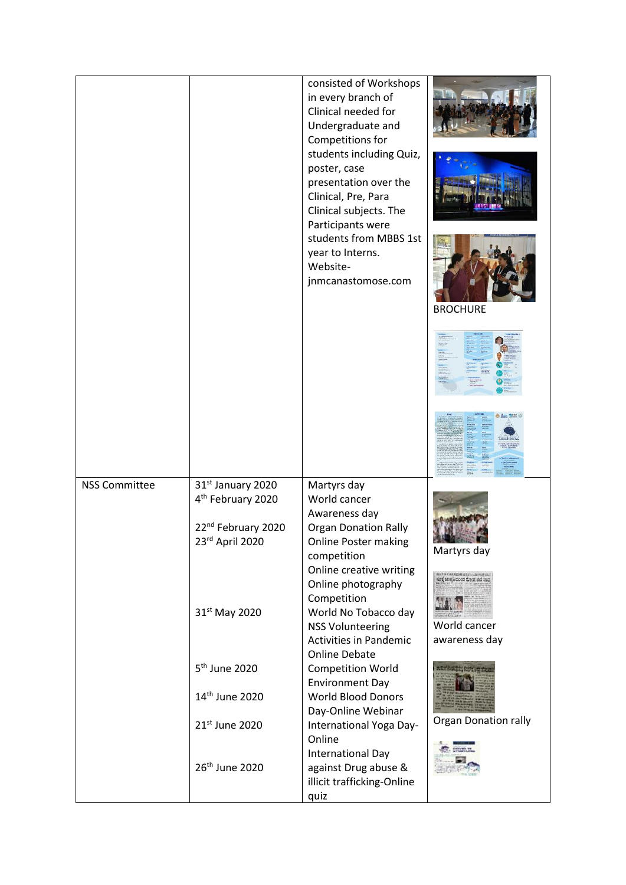|                      |                                                                                                                     | consisted of Workshops<br>in every branch of<br>Clinical needed for<br>Undergraduate and<br>Competitions for<br>students including Quiz,<br>poster, case<br>presentation over the<br>Clinical, Pre, Para<br>Clinical subjects. The<br>Participants were<br>students from MBBS 1st<br>year to Interns.<br>Website-<br>jnmcanastomose.com | <b>BROCHURE</b>                                                         |
|----------------------|---------------------------------------------------------------------------------------------------------------------|-----------------------------------------------------------------------------------------------------------------------------------------------------------------------------------------------------------------------------------------------------------------------------------------------------------------------------------------|-------------------------------------------------------------------------|
|                      |                                                                                                                     |                                                                                                                                                                                                                                                                                                                                         |                                                                         |
|                      |                                                                                                                     |                                                                                                                                                                                                                                                                                                                                         |                                                                         |
| <b>NSS Committee</b> | 31 <sup>st</sup> January 2020<br>4 <sup>th</sup> February 2020<br>22 <sup>nd</sup> February 2020<br>23rd April 2020 | Martyrs day<br>World cancer<br>Awareness day<br><b>Organ Donation Rally</b><br>Online Poster making<br>competition<br>Online creative writing<br>Online photography                                                                                                                                                                     | Martyrs day<br>suits corrent site corretor<br>Enf implicites dent ad my |
|                      | 31 <sup>st</sup> May 2020                                                                                           | Competition<br>World No Tobacco day<br><b>NSS Volunteering</b><br><b>Activities in Pandemic</b><br><b>Online Debate</b>                                                                                                                                                                                                                 | World cancer<br>awareness day                                           |
|                      | 5 <sup>th</sup> June 2020                                                                                           | <b>Competition World</b><br><b>Environment Day</b>                                                                                                                                                                                                                                                                                      | atricent; hotel the                                                     |
|                      | 14 <sup>th</sup> June 2020                                                                                          | <b>World Blood Donors</b><br>Day-Online Webinar                                                                                                                                                                                                                                                                                         |                                                                         |
|                      | 21st June 2020                                                                                                      | International Yoga Day-<br>Online<br>International Day                                                                                                                                                                                                                                                                                  | <b>Organ Donation rally</b>                                             |
|                      | 26 <sup>th</sup> June 2020                                                                                          | against Drug abuse &<br>illicit trafficking-Online<br>quiz                                                                                                                                                                                                                                                                              |                                                                         |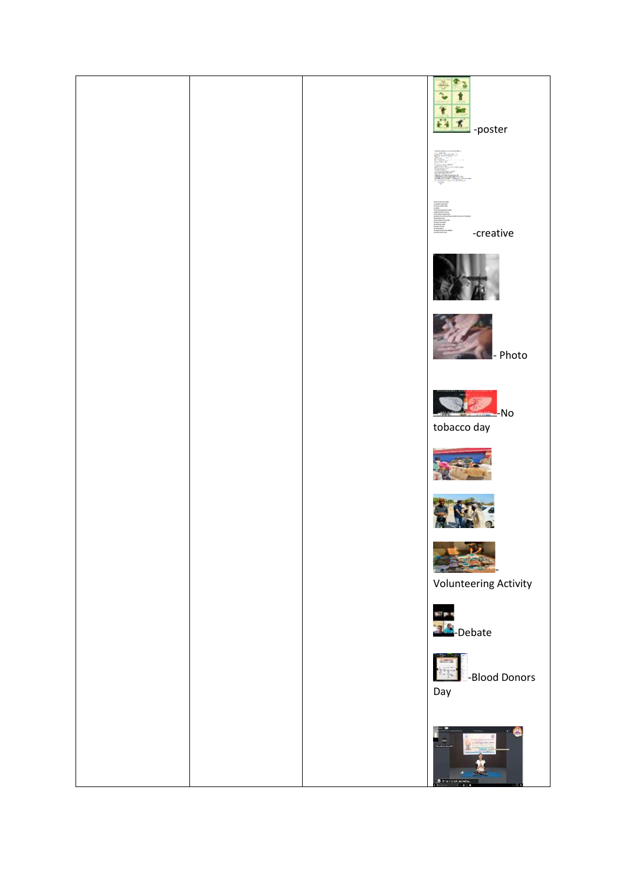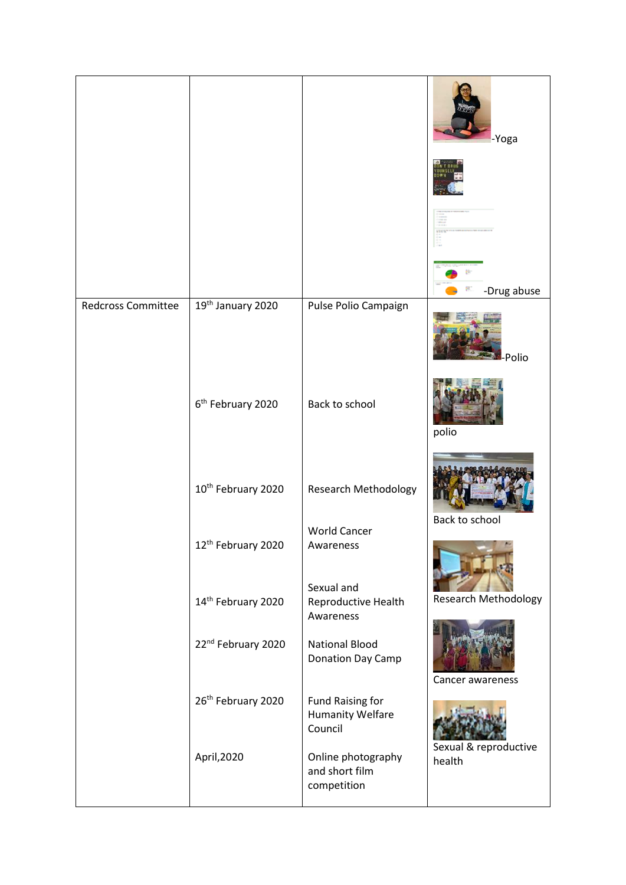|                           |                                |                                                               | -Yoga<br>-Drug abuse            |
|---------------------------|--------------------------------|---------------------------------------------------------------|---------------------------------|
| <b>Redcross Committee</b> | 19th January 2020              | Pulse Polio Campaign                                          | -Polio                          |
|                           | 6 <sup>th</sup> February 2020  | Back to school                                                | polio                           |
|                           | 10 <sup>th</sup> February 2020 | Research Methodology                                          | Back to school                  |
|                           | 12 <sup>th</sup> February 2020 | <b>World Cancer</b><br>Awareness                              |                                 |
|                           | 14th February 2020             | Sexual and<br>Reproductive Health<br>Awareness                | <b>Research Methodology</b>     |
|                           | 22nd February 2020             | <b>National Blood</b><br>Donation Day Camp                    | Cancer awareness                |
|                           | 26 <sup>th</sup> February 2020 | <b>Fund Raising for</b><br><b>Humanity Welfare</b><br>Council |                                 |
|                           | April, 2020                    | Online photography<br>and short film<br>competition           | Sexual & reproductive<br>health |